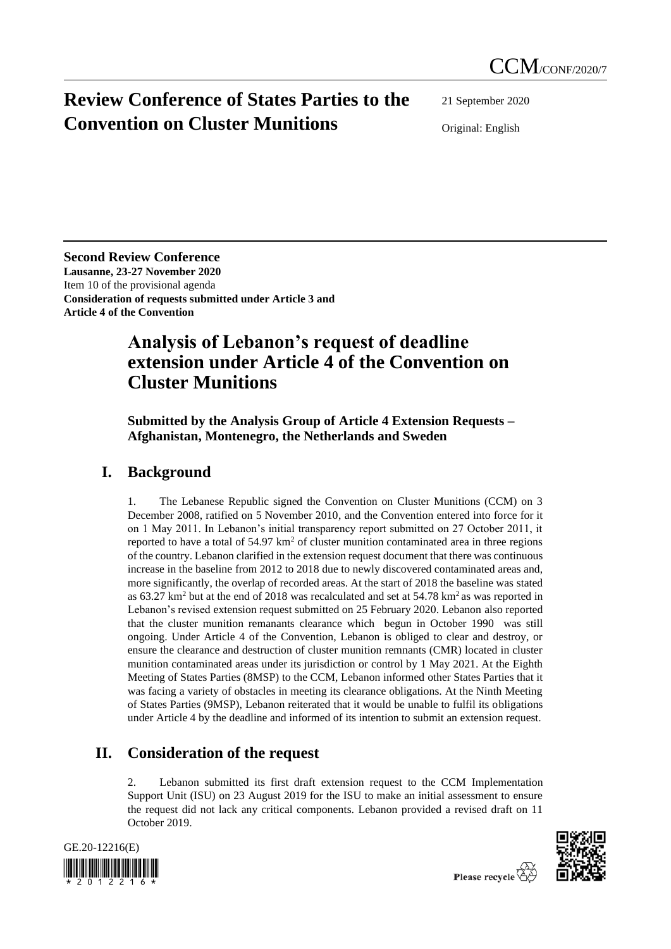# **Review Conference of States Parties to the Convention on Cluster Munitions**

21 September 2020

Original: English

**Second Review Conference Lausanne, 23-27 November 2020** Item 10 of the provisional agenda **Consideration of requests submitted under Article 3 and Article 4 of the Convention**

## **Analysis of Lebanon's request of deadline extension under Article 4 of the Convention on Cluster Munitions**

**Submitted by the Analysis Group of Article 4 Extension Requests – Afghanistan, Montenegro, the Netherlands and Sweden**

### **I. Background**

1. The Lebanese Republic signed the Convention on Cluster Munitions (CCM) on 3 December 2008, ratified on 5 November 2010, and the Convention entered into force for it on 1 May 2011. In Lebanon's initial transparency report submitted on 27 October 2011, it reported to have a total of  $54.97 \text{ km}^2$  of cluster munition contaminated area in three regions of the country. Lebanon clarified in the extension request document that there was continuous increase in the baseline from 2012 to 2018 due to newly discovered contaminated areas and, more significantly, the overlap of recorded areas. At the start of 2018 the baseline was stated as  $63.27 \text{ km}^2$  but at the end of 2018 was recalculated and set at  $54.78 \text{ km}^2$  as was reported in Lebanon's revised extension request submitted on 25 February 2020. Lebanon also reported that the cluster munition remanants clearance which begun in October 1990 was still ongoing. Under Article 4 of the Convention, Lebanon is obliged to clear and destroy, or ensure the clearance and destruction of cluster munition remnants (CMR) located in cluster munition contaminated areas under its jurisdiction or control by 1 May 2021. At the Eighth Meeting of States Parties (8MSP) to the CCM, Lebanon informed other States Parties that it was facing a variety of obstacles in meeting its clearance obligations. At the Ninth Meeting of States Parties (9MSP), Lebanon reiterated that it would be unable to fulfil its obligations under Article 4 by the deadline and informed of its intention to submit an extension request.

## **II. Consideration of the request**

2. Lebanon submitted its first draft extension request to the CCM Implementation Support Unit (ISU) on 23 August 2019 for the ISU to make an initial assessment to ensure the request did not lack any critical components. Lebanon provided a revised draft on 11 October 2019.



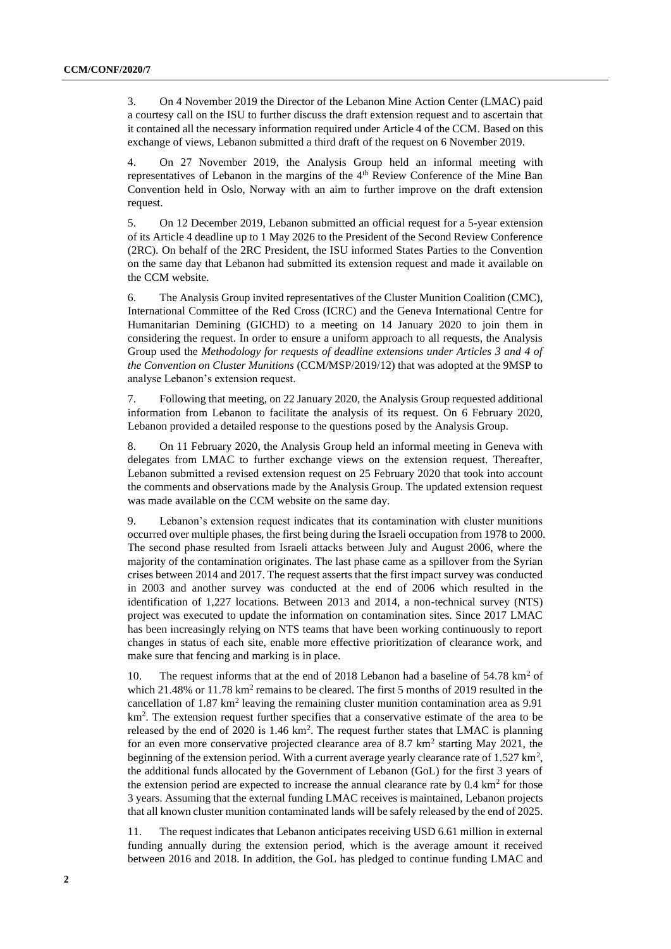3. On 4 November 2019 the Director of the Lebanon Mine Action Center (LMAC) paid a courtesy call on the ISU to further discuss the draft extension request and to ascertain that it contained all the necessary information required under Article 4 of the CCM. Based on this exchange of views, Lebanon submitted a third draft of the request on 6 November 2019.

4. On 27 November 2019, the Analysis Group held an informal meeting with representatives of Lebanon in the margins of the 4<sup>th</sup> Review Conference of the Mine Ban Convention held in Oslo, Norway with an aim to further improve on the draft extension request.

5. On 12 December 2019, Lebanon submitted an official request for a 5-year extension of its Article 4 deadline up to 1 May 2026 to the President of the Second Review Conference (2RC). On behalf of the 2RC President, the ISU informed States Parties to the Convention on the same day that Lebanon had submitted its extension request and made it available on the CCM website.

6. The Analysis Group invited representatives of the Cluster Munition Coalition (CMC), International Committee of the Red Cross (ICRC) and the Geneva International Centre for Humanitarian Demining (GICHD) to a meeting on 14 January 2020 to join them in considering the request. In order to ensure a uniform approach to all requests, the Analysis Group used the *Methodology for requests of deadline extensions under Articles 3 and 4 of the Convention on Cluster Munitions* (CCM/MSP/2019/12) that was adopted at the 9MSP to analyse Lebanon's extension request.

7. Following that meeting, on 22 January 2020, the Analysis Group requested additional information from Lebanon to facilitate the analysis of its request. On 6 February 2020, Lebanon provided a detailed response to the questions posed by the Analysis Group.

8. On 11 February 2020, the Analysis Group held an informal meeting in Geneva with delegates from LMAC to further exchange views on the extension request. Thereafter, Lebanon submitted a revised extension request on 25 February 2020 that took into account the comments and observations made by the Analysis Group. The updated extension request was made available on the CCM website on the same day.

9. Lebanon's extension request indicates that its contamination with cluster munitions occurred over multiple phases, the first being during the Israeli occupation from 1978 to 2000. The second phase resulted from Israeli attacks between July and August 2006, where the majority of the contamination originates. The last phase came as a spillover from the Syrian crises between 2014 and 2017. The request asserts that the first impact survey was conducted in 2003 and another survey was conducted at the end of 2006 which resulted in the identification of 1,227 locations. Between 2013 and 2014, a non-technical survey (NTS) project was executed to update the information on contamination sites. Since 2017 LMAC has been increasingly relying on NTS teams that have been working continuously to report changes in status of each site, enable more effective prioritization of clearance work, and make sure that fencing and marking is in place.

10. The request informs that at the end of 2018 Lebanon had a baseline of  $54.78 \text{ km}^2$  of which  $21.48\%$  or  $11.78 \text{ km}^2$  remains to be cleared. The first 5 months of 2019 resulted in the cancellation of  $1.87 \text{ km}^2$  leaving the remaining cluster munition contamination area as 9.91  $km<sup>2</sup>$ . The extension request further specifies that a conservative estimate of the area to be released by the end of 2020 is  $1.46 \text{ km}^2$ . The request further states that LMAC is planning for an even more conservative projected clearance area of  $8.7 \text{ km}^2$  starting May 2021, the beginning of the extension period. With a current average yearly clearance rate of 1.527  $\text{km}^2$ , the additional funds allocated by the Government of Lebanon (GoL) for the first 3 years of the extension period are expected to increase the annual clearance rate by  $0.4 \text{ km}^2$  for those 3 years. Assuming that the external funding LMAC receives is maintained, Lebanon projects that all known cluster munition contaminated lands will be safely released by the end of 2025.

11. The request indicates that Lebanon anticipates receiving USD 6.61 million in external funding annually during the extension period, which is the average amount it received between 2016 and 2018. In addition, the GoL has pledged to continue funding LMAC and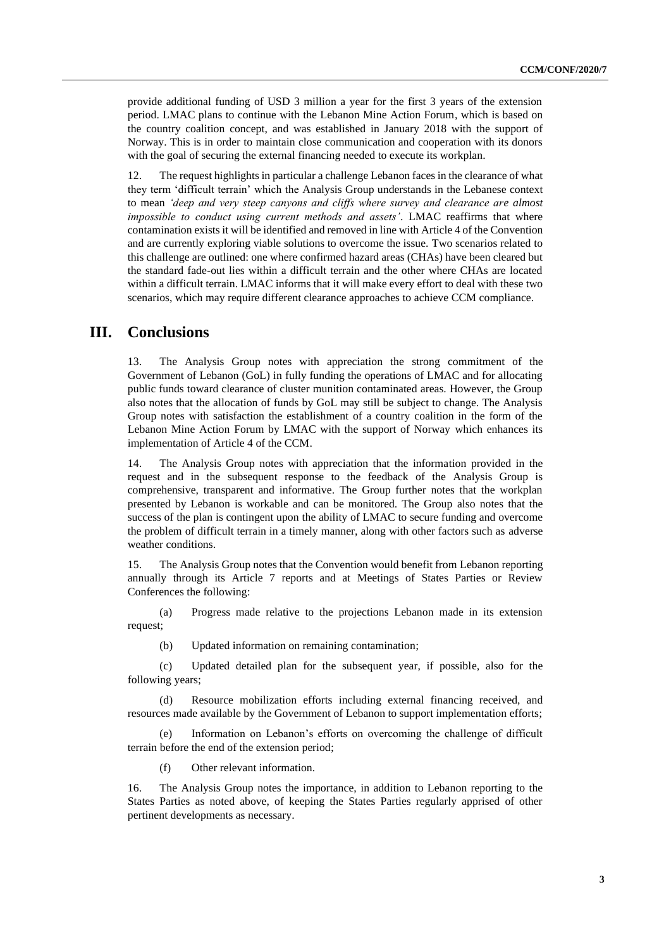provide additional funding of USD 3 million a year for the first 3 years of the extension period. LMAC plans to continue with the Lebanon Mine Action Forum, which is based on the country coalition concept, and was established in January 2018 with the support of Norway. This is in order to maintain close communication and cooperation with its donors with the goal of securing the external financing needed to execute its workplan.

12. The request highlights in particular a challenge Lebanon faces in the clearance of what they term 'difficult terrain' which the Analysis Group understands in the Lebanese context to mean *'deep and very steep canyons and cliffs where survey and clearance are almost impossible to conduct using current methods and assets'*. LMAC reaffirms that where contamination exists it will be identified and removed in line with Article 4 of the Convention and are currently exploring viable solutions to overcome the issue. Two scenarios related to this challenge are outlined: one where confirmed hazard areas (CHAs) have been cleared but the standard fade-out lies within a difficult terrain and the other where CHAs are located within a difficult terrain. LMAC informs that it will make every effort to deal with these two scenarios, which may require different clearance approaches to achieve CCM compliance.

#### **III. Conclusions**

13. The Analysis Group notes with appreciation the strong commitment of the Government of Lebanon (GoL) in fully funding the operations of LMAC and for allocating public funds toward clearance of cluster munition contaminated areas. However, the Group also notes that the allocation of funds by GoL may still be subject to change. The Analysis Group notes with satisfaction the establishment of a country coalition in the form of the Lebanon Mine Action Forum by LMAC with the support of Norway which enhances its implementation of Article 4 of the CCM.

14. The Analysis Group notes with appreciation that the information provided in the request and in the subsequent response to the feedback of the Analysis Group is comprehensive, transparent and informative. The Group further notes that the workplan presented by Lebanon is workable and can be monitored. The Group also notes that the success of the plan is contingent upon the ability of LMAC to secure funding and overcome the problem of difficult terrain in a timely manner, along with other factors such as adverse weather conditions.

15. The Analysis Group notes that the Convention would benefit from Lebanon reporting annually through its Article 7 reports and at Meetings of States Parties or Review Conferences the following:

(a) Progress made relative to the projections Lebanon made in its extension request;

(b) Updated information on remaining contamination;

(c) Updated detailed plan for the subsequent year, if possible, also for the following years;

(d) Resource mobilization efforts including external financing received, and resources made available by the Government of Lebanon to support implementation efforts;

(e) Information on Lebanon's efforts on overcoming the challenge of difficult terrain before the end of the extension period;

(f) Other relevant information.

16. The Analysis Group notes the importance, in addition to Lebanon reporting to the States Parties as noted above, of keeping the States Parties regularly apprised of other pertinent developments as necessary.